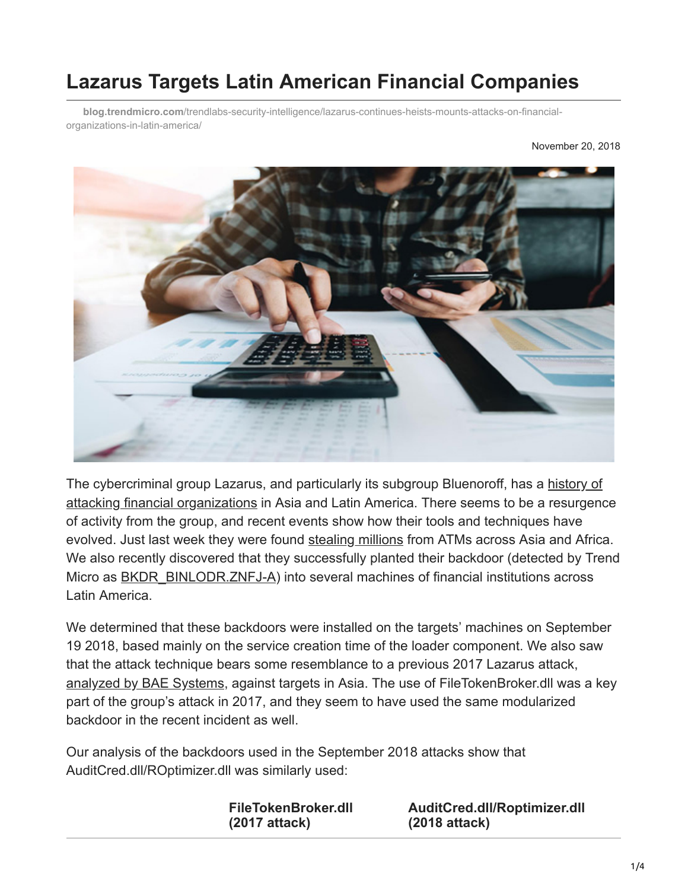# **Lazarus Targets Latin American Financial Companies**

**blog.trendmicro.com**[/trendlabs-security-intelligence/lazarus-continues-heists-mounts-attacks-on-financial](https://blog.trendmicro.com/trendlabs-security-intelligence/lazarus-continues-heists-mounts-attacks-on-financial-organizations-in-latin-america/)organizations-in-latin-america/

November 20, 2018



[The cybercriminal group Lazarus, and particularly its subgroup Bluenoroff, has a history of](https://www.trendmicro.com/vinfo/tmr/?/us/security/news/cybercrime-and-digital-threats/a-look-into-the-lazarus-groups-operations) attacking financial organizations in Asia and Latin America. There seems to be a resurgence of activity from the group, and recent events show how their tools and techniques have evolved. Just last week they were found [stealing millions](https://www.theverge.com/2018/11/8/18075124/north-korea-lazarus-atm-fastcash-hack-millions-dollars-stolen) from ATMs across Asia and Africa. We also recently discovered that they successfully planted their backdoor (detected by Trend Micro as [BKDR\\_BINLODR.ZNFJ-A\)](https://www.trendmicro.com/vinfo/tmr/?/us/threat-encyclopedia/malware/bkdr_binlodr.znfj-a) into several machines of financial institutions across Latin America.

We determined that these backdoors were installed on the targets' machines on September 19 2018, based mainly on the service creation time of the loader component. We also saw that the attack technique bears some resemblance to a previous 2017 Lazarus attack, [analyzed by BAE Systems,](https://baesystemsai.blogspot.com/2017/10/taiwan-heist-lazarus-tools.html) against targets in Asia. The use of FileTokenBroker.dll was a key part of the group's attack in 2017, and they seem to have used the same modularized backdoor in the recent incident as well.

Our analysis of the backdoors used in the September 2018 attacks show that AuditCred.dll/ROptimizer.dll was similarly used:

> **FileTokenBroker.dll (2017 attack)**

**AuditCred.dll/Roptimizer.dll (2018 attack)**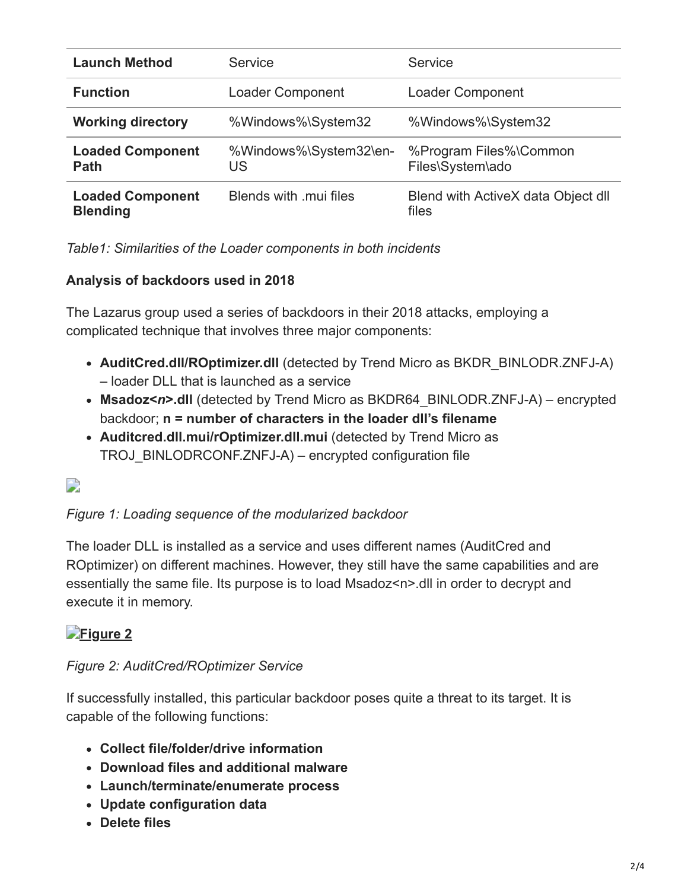| <b>Launch Method</b>                       | Service                      | Service                                     |
|--------------------------------------------|------------------------------|---------------------------------------------|
| <b>Function</b>                            | Loader Component             | Loader Component                            |
| <b>Working directory</b>                   | %Windows%\System32           | %Windows%\System32                          |
| <b>Loaded Component</b><br>Path            | %Windows%\System32\en-<br>US | %Program Files%\Common<br>Files\System\ado  |
| <b>Loaded Component</b><br><b>Blending</b> | Blends with mui files        | Blend with ActiveX data Object dll<br>files |

*Table1: Similarities of the Loader components in both incidents*

#### **Analysis of backdoors used in 2018**

The Lazarus group used a series of backdoors in their 2018 attacks, employing a complicated technique that involves three major components:

- **AuditCred.dll/ROptimizer.dll** (detected by Trend Micro as BKDR\_BINLODR.ZNFJ-A) – loader DLL that is launched as a service
- **Msadoz<***n***>.dll** (detected by Trend Micro as BKDR64\_BINLODR.ZNFJ-A) encrypted backdoor; **n = number of characters in the loader dll's filename**
- **Auditcred.dll.mui/rOptimizer.dll.mui** (detected by Trend Micro as TROJ\_BINLODRCONF.ZNFJ-A) – encrypted configuration file

### $\Box$

#### *Figure 1: Loading sequence of the modularized backdoor*

The loader DLL is installed as a service and uses different names (AuditCred and ROptimizer) on different machines. However, they still have the same capabilities and are essentially the same file. Its purpose is to load Msadoz<n>.dll in order to decrypt and execute it in memory.

#### **[Figure 2](https://blog.trendmicro.com/content/dam/trendmicro/global/en/migrated/security-intelligence-migration-spreadsheet/trendlabs-security-intelligence/2018/11/lazaruslatinamerica2.png)**

#### *Figure 2: AuditCred/ROptimizer Service*

If successfully installed, this particular backdoor poses quite a threat to its target. It is capable of the following functions:

- **Collect file/folder/drive information**
- **Download files and additional malware**
- **Launch/terminate/enumerate process**
- **Update configuration data**
- **Delete files**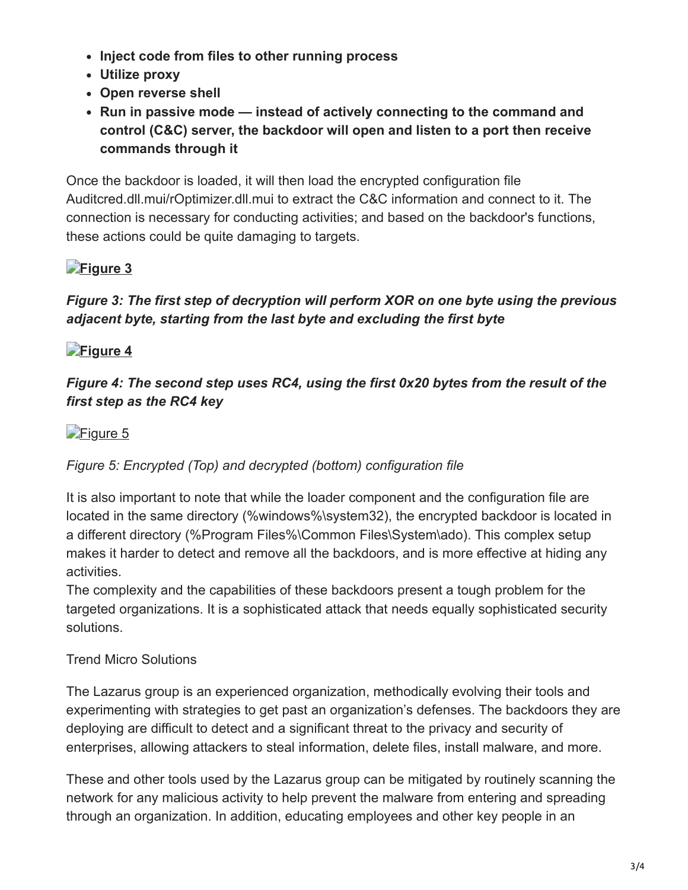- **Inject code from files to other running process**
- **Utilize proxy**
- **Open reverse shell**
- **Run in passive mode instead of actively connecting to the command and control (C&C) server, the backdoor will open and listen to a port then receive commands through it**

Once the backdoor is loaded, it will then load the encrypted configuration file Auditcred.dll.mui/rOptimizer.dll.mui to extract the C&C information and connect to it. The connection is necessary for conducting activities; and based on the backdoor's functions, these actions could be quite damaging to targets.

## **[Figure 3](https://blog.trendmicro.com/content/dam/trendmicro/global/en/migrated/security-intelligence-migration-spreadsheet/trendlabs-security-intelligence/2018/11/lazaruslatinamerica3.png)**

#### *Figure 3: The first step of decryption will perform XOR on one byte using the previous adjacent byte, starting from the last byte and excluding the first byte*

## **[Figure 4](https://blog.trendmicro.com/content/dam/trendmicro/global/en/migrated/security-intelligence-migration-spreadsheet/trendlabs-security-intelligence/2018/11/lazaruslatinamerica4.png)**

#### *Figure 4: The second step uses RC4, using the first 0x20 bytes from the result of the first step as the RC4 key*

## [Figure 5](https://blog.trendmicro.com/content/dam/trendmicro/global/en/migrated/security-intelligence-migration-spreadsheet/trendlabs-security-intelligence/2018/11/lazaruslatinamerica5.png)

### *Figure 5: Encrypted (Top) and decrypted (bottom) configuration file*

It is also important to note that while the loader component and the configuration file are located in the same directory (%windows%\system32), the encrypted backdoor is located in a different directory (%Program Files%\Common Files\System\ado). This complex setup makes it harder to detect and remove all the backdoors, and is more effective at hiding any activities.

The complexity and the capabilities of these backdoors present a tough problem for the targeted organizations. It is a sophisticated attack that needs equally sophisticated security solutions.

### Trend Micro Solutions

The Lazarus group is an experienced organization, methodically evolving their tools and experimenting with strategies to get past an organization's defenses. The backdoors they are deploying are difficult to detect and a significant threat to the privacy and security of enterprises, allowing attackers to steal information, delete files, install malware, and more.

These and other tools used by the Lazarus group can be mitigated by routinely scanning the network for any malicious activity to help prevent the malware from entering and spreading through an organization. In addition, educating employees and other key people in an